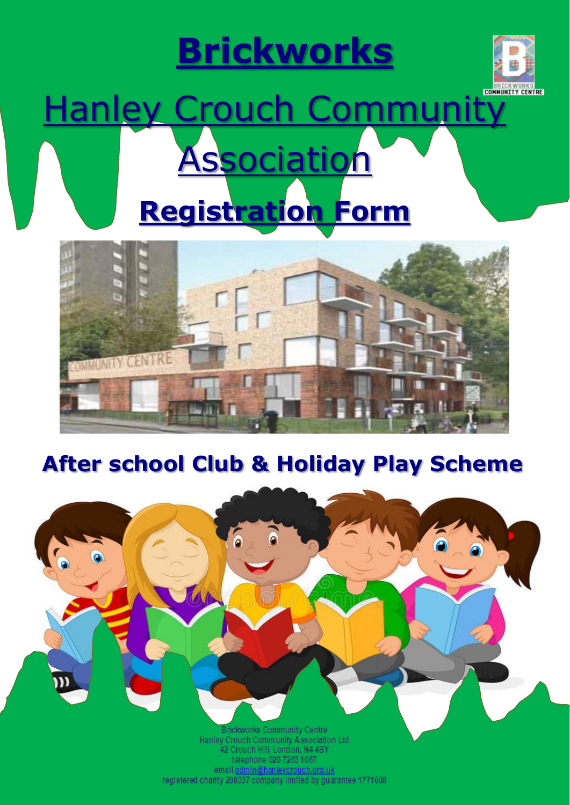## **Brickworks**



# Hanley Crouch Community **Association Registration Form**



### **After school Club & Holiday Play Scheme**



registered charity 288337 company limited by guarantee 1771608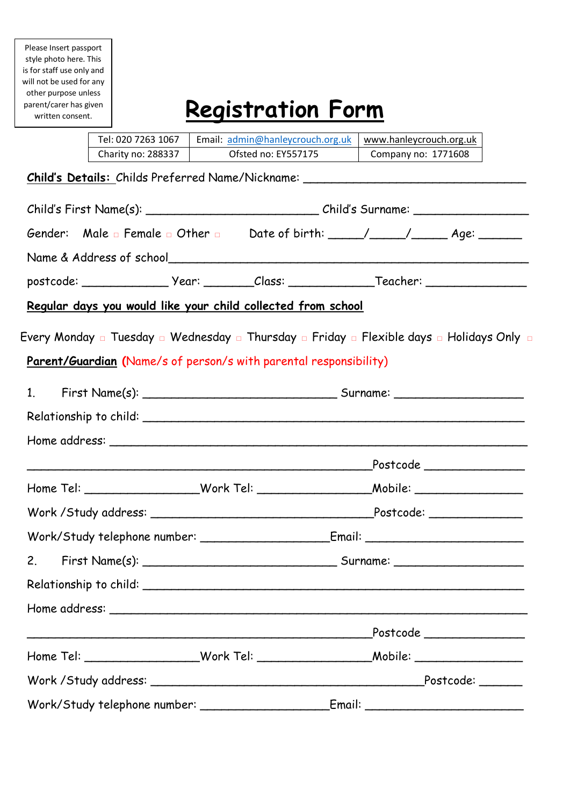Please Insert passport style photo here. This is for staff use only and will not be used for any other purpose unless parent/carer has given written consent.

## **Registration Form**

| Tel: 020 7263 1067                                                  | Email: admin@hanleycrouch.org.uk | www.hanleycrouch.org.uk                                                                              |  |
|---------------------------------------------------------------------|----------------------------------|------------------------------------------------------------------------------------------------------|--|
| Charity no: 288337                                                  | Ofsted no: EY557175              | Company no: 1771608                                                                                  |  |
|                                                                     |                                  | Child's Details: Childs Preferred Name/Nickname: ________________________________                    |  |
|                                                                     |                                  |                                                                                                      |  |
|                                                                     |                                  | Child's First Name(s): ________________________________Child's Surname: ____________________________ |  |
|                                                                     |                                  |                                                                                                      |  |
|                                                                     |                                  |                                                                                                      |  |
|                                                                     |                                  | postcode: ___________________________________Class: ____________________________                     |  |
| <u>Regular days you would like your child collected from school</u> |                                  |                                                                                                      |  |
|                                                                     |                                  |                                                                                                      |  |
|                                                                     |                                  | Every Monday a Tuesday a Wednesday a Thursday a Friday a Flexible days a Holidays Only a             |  |
| Parent/Guardian (Name/s of person/s with parental responsibility)   |                                  |                                                                                                      |  |
|                                                                     |                                  |                                                                                                      |  |
|                                                                     |                                  |                                                                                                      |  |
|                                                                     |                                  |                                                                                                      |  |
|                                                                     |                                  |                                                                                                      |  |
|                                                                     |                                  |                                                                                                      |  |
|                                                                     |                                  | Home Tel: __________________Work Tel: _____________________Mobile: _____________                     |  |
|                                                                     |                                  |                                                                                                      |  |
|                                                                     |                                  |                                                                                                      |  |
|                                                                     |                                  |                                                                                                      |  |
|                                                                     |                                  |                                                                                                      |  |
|                                                                     |                                  |                                                                                                      |  |
|                                                                     |                                  | Postcode _________________                                                                           |  |
|                                                                     |                                  | Home Tel: ___________________Work Tel: ____________________Mobile: _____________                     |  |
|                                                                     |                                  |                                                                                                      |  |
|                                                                     |                                  |                                                                                                      |  |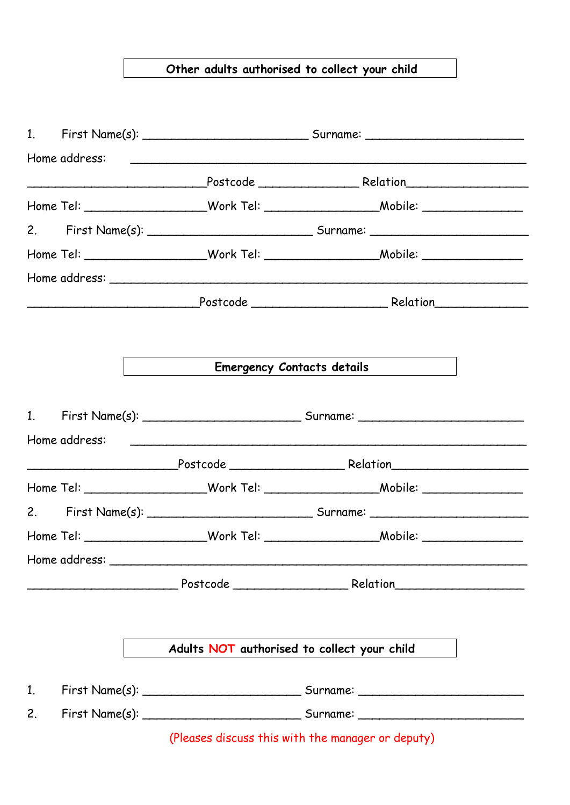#### **Other adults authorised to collect your child**

|                |                                             | Emergency Contacts details                                                       |
|----------------|---------------------------------------------|----------------------------------------------------------------------------------|
|                |                                             |                                                                                  |
|                |                                             |                                                                                  |
|                |                                             |                                                                                  |
|                |                                             |                                                                                  |
|                |                                             |                                                                                  |
|                |                                             |                                                                                  |
|                |                                             |                                                                                  |
|                |                                             |                                                                                  |
|                |                                             |                                                                                  |
|                | Adults NOT authorised to collect your child |                                                                                  |
| $\mathbf{1}$ . |                                             |                                                                                  |
| 2.             |                                             | First Name(s): __________________________________ Surname: _____________________ |
|                |                                             | (Pleases discuss this with the manager or deputy)                                |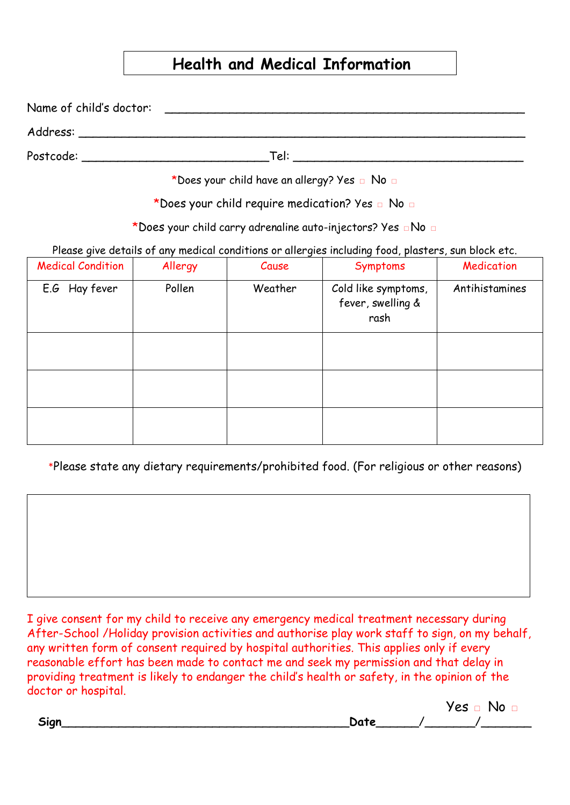#### **Health and Medical Information**

Name of child's doctor: \_\_\_\_\_\_\_\_\_\_\_\_\_\_\_\_\_\_\_\_\_\_\_\_\_\_\_\_\_\_\_\_\_\_\_\_\_\_\_\_\_\_\_\_\_\_\_\_\_\_ Address: \_\_\_\_\_\_\_\_\_\_\_\_\_\_\_\_\_\_\_\_\_\_\_\_\_\_\_\_\_\_\_\_\_\_\_\_\_\_\_\_\_\_\_\_\_\_\_\_\_\_\_\_\_\_\_\_\_\_\_\_\_\_ Postcode: \_\_\_\_\_\_\_\_\_\_\_\_\_\_\_\_\_\_\_\_\_\_\_\_\_\_Tel: \_\_\_\_\_\_\_\_\_\_\_\_\_\_\_\_\_\_\_\_\_\_\_\_\_\_\_\_\_\_\_\_

\*Does your child have an allergy? Yes **□** No **□**

\*Does your child require medication? Yes **□** No **□**

\*Does your child carry adrenaline auto-injectors? Yes **□**No **□**

Please give details of any medical conditions or allergies including food, plasters, sun block etc.

| <b>Medical Condition</b> | Allergy | Cause   | Symptoms                                         | Medication     |
|--------------------------|---------|---------|--------------------------------------------------|----------------|
| E.G Hay fever            | Pollen  | Weather | Cold like symptoms,<br>fever, swelling &<br>rash | Antihistamines |
|                          |         |         |                                                  |                |
|                          |         |         |                                                  |                |
|                          |         |         |                                                  |                |

\*Please state any dietary requirements/prohibited food. (For religious or other reasons)

I give consent for my child to receive any emergency medical treatment necessary during After-School /Holiday provision activities and authorise play work staff to sign, on my behalf, any written form of consent required by hospital authorities. This applies only if every reasonable effort has been made to contact me and seek my permission and that delay in providing treatment is likely to endanger the child's health or safety, in the opinion of the doctor or hospital.

| ian. |  |
|------|--|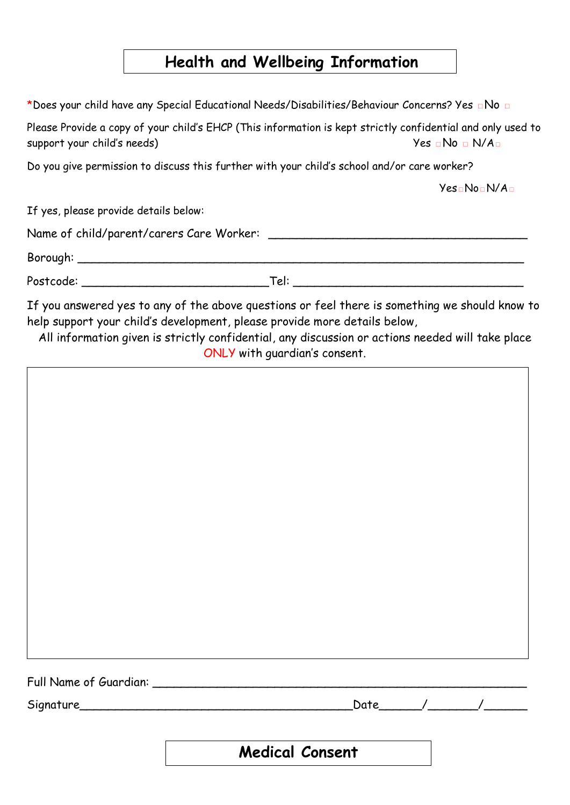#### **Health and Wellbeing Information**

\*Does your child have any Special Educational Needs/Disabilities/Behaviour Concerns? Yes **□**No **□**

Please Provide a copy of your child's EHCP (This information is kept strictly confidential and only used to support your child's needs)  $Yes \Box No \Box N/A \Box$ 

Do you give permission to discuss this further with your child's school and/or care worker?

Yes**□**No**□**N/A**□**

If yes, please provide details below:

| Name of child/parent/carers Care Worker: |  |
|------------------------------------------|--|
|                                          |  |

Borough: \_\_\_\_\_\_\_\_\_\_\_\_\_\_\_\_\_\_\_\_\_\_\_\_\_\_\_\_\_\_\_\_\_\_\_\_\_\_\_\_\_\_\_\_\_\_\_\_\_\_\_\_\_\_\_\_\_\_\_\_\_\_

Postcode: \_\_\_\_\_\_\_\_\_\_\_\_\_\_\_\_\_\_\_\_\_\_\_\_\_\_Tel: \_\_\_\_\_\_\_\_\_\_\_\_\_\_\_\_\_\_\_\_\_\_\_\_\_\_\_\_\_\_\_\_

If you answered yes to any of the above questions or feel there is something we should know to help support your child's development, please provide more details below,

All information given is strictly confidential, any discussion or actions needed will take place ONLY with guardian's consent.

Full Name of Guardian: \_\_\_\_\_\_\_\_\_\_\_\_\_\_\_\_\_\_\_\_\_\_\_\_\_\_\_\_\_\_\_\_\_\_\_\_\_\_\_\_\_\_\_\_\_\_\_\_\_\_\_\_

Signature\_\_\_\_\_\_\_\_\_\_\_\_\_\_\_\_\_\_\_\_\_\_\_\_\_\_\_\_\_\_\_\_\_\_\_\_\_\_Date\_\_\_\_\_\_/\_\_\_\_\_\_\_/\_\_\_\_\_\_

**Medical Consent**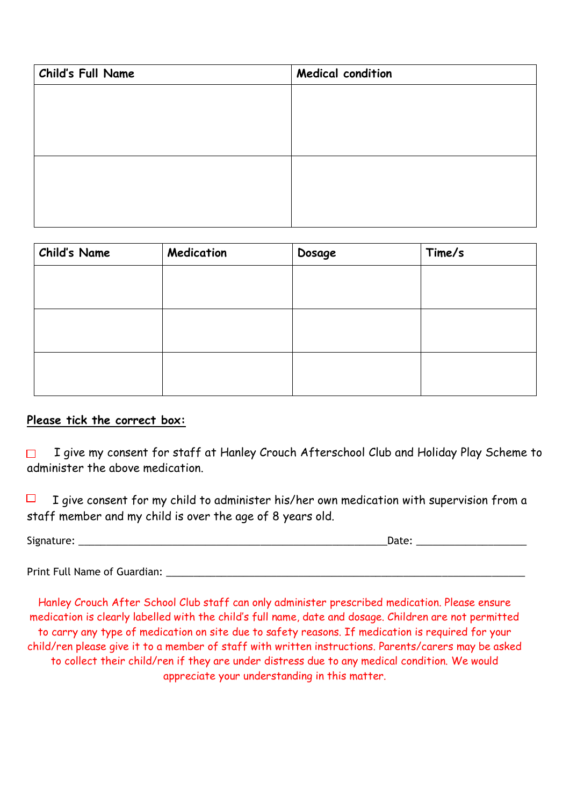| Child's Full Name | <b>Medical condition</b> |  |
|-------------------|--------------------------|--|
|                   |                          |  |
|                   |                          |  |
|                   |                          |  |
|                   |                          |  |
|                   |                          |  |
|                   |                          |  |
|                   |                          |  |

| <b>Child's Name</b> | Medication | Dosage | Time/s |
|---------------------|------------|--------|--------|
|                     |            |        |        |
|                     |            |        |        |
|                     |            |        |        |
|                     |            |        |        |
|                     |            |        |        |
|                     |            |        |        |

#### **Please tick the correct box:**

I give my consent for staff at Hanley Crouch Afterschool Club and Holiday Play Scheme to administer the above medication.

I give consent for my child to administer his/her own medication with supervision from a staff member and my child is over the age of 8 years old.

| Signature: | Date: |
|------------|-------|
|            |       |

Print Full Name of Guardian:

Hanley Crouch After School Club staff can only administer prescribed medication. Please ensure medication is clearly labelled with the child's full name, date and dosage. Children are not permitted to carry any type of medication on site due to safety reasons. If medication is required for your child/ren please give it to a member of staff with written instructions. Parents/carers may be asked to collect their child/ren if they are under distress due to any medical condition. We would appreciate your understanding in this matter.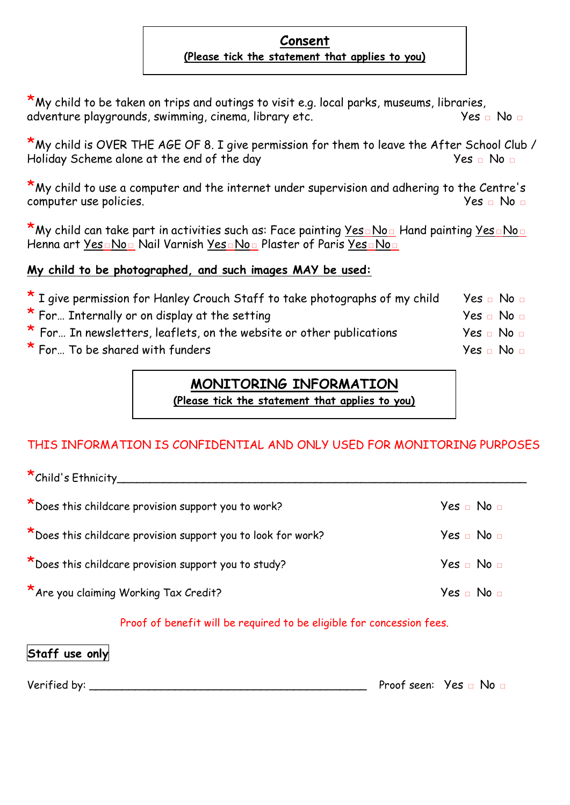#### **Consent (Please tick the statement that applies to you)**

 $*$ My child to be taken on trips and outings to visit e.g. local parks, museums, libraries, adventure playgrounds, swimming, cinema, library etc. Yes □ No □

**\*** My child is OVER THE AGE OF 8. I give permission for them to leave the After School Club /<br>Holiday Scheme alone at the end of the day Holiday Scheme alone at the end of the day

\*My child to use a computer and the internet under supervision and adhering to the Centre's computer use policies. Yes **□** No **□**

\*My child can take part in activities such as: Face painting <u>Yes□No□</u> Hand painting <u>Yes□No□</u> Henna art Yes□No□ Nail Varnish Yes□No□ Plaster of Paris Yes□No□

#### **My child to be photographed, and such images MAY be used:**

| * I give permission for Hanley Crouch Staff to take photographs of my child | $Yes \square No \square$         |
|-----------------------------------------------------------------------------|----------------------------------|
| * For Internally or on display at the setting                               | Yes ⊡ No ⊡                       |
| * For In newsletters, leaflets, on the website or other publications        | $Yes \square No \square$         |
| * For To be shared with funders                                             | Yes <sub>□</sub> No <sub>□</sub> |

#### **MONITORING INFORMATION**

**(Please tick the statement that applies to you)**

#### THIS INFORMATION IS CONFIDENTIAL AND ONLY USED FOR MONITORING PURPOSES

\*Child's Ethnicity\_\_\_\_\_\_\_\_\_\_\_\_\_\_\_\_\_\_\_\_\_\_\_\_\_\_\_\_\_\_\_\_\_\_\_\_\_\_\_\_\_\_\_\_\_\_\_\_\_\_\_\_\_\_\_\_\_\_\_\_\_\_ \*Does this childcare provision support you to work? Yes **Disk Provides** Yes **□** No **□** \*Does this childcare provision support you to look for work? Yes **□** No **□** \*Does this childcare provision support you to study? Yes **□** No **□** \*Are you claiming Working Tax Credit? Yes **□** No **□**

Proof of benefit will be required to be eligible for concession fees.

#### **Staff use only**

Verified by: \_\_\_\_\_\_\_\_\_\_\_\_\_\_\_\_\_\_\_\_\_\_\_\_\_\_\_\_\_\_\_\_\_\_\_\_\_\_\_\_\_\_ Proof seen: Yes **□** No **□**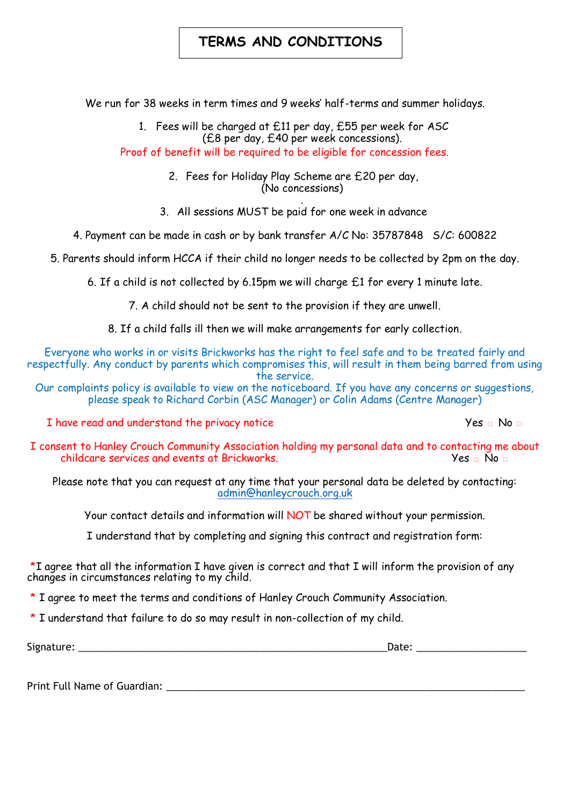#### **TERMS AND CONDITIONS**

We run for 38 weeks in term times and 9 weeks' half-terms and summer holidays.

1. Fees will be charged at £11 per day, £55 per week for ASC (£8 per day, £40 per week concessions). Proof of benefit will be required to be eligible for concession fees.

> 2. Fees for Holiday Play Scheme are £20 per day, (No concessions)

. 3. All sessions MUST be paid for one week in advance

4. Payment can be made in cash or by bank transfer A/C No: 35787848 S/C: 600822

5. Parents should inform HCCA if their child no longer needs to be collected by 2pm on the day.

6. If a child is not collected by 6.15pm we will charge £1 for every 1 minute late.

7. A child should not be sent to the provision if they are unwell.

8. If a child falls ill then we will make arrangements for early collection.

Everyone who works in or visits Brickworks has the right to feel safe and to be treated fairly and respectfully. Any conduct by parents which compromises this, will result in them being barred from using the service.

Our complaints policy is available to view on the noticeboard. If you have any concerns or suggestions, please speak to Richard Corbin (ASC Manager) or Colin Adams (Centre Manager)

I have read and understand the privacy notice Yes □ No □

I consent to Hanley Crouch Community Association holding my personal data and to contacting me about childcare services and events at Brickworks. Yes **□** No **□**

Please note that you can request at any time that your personal data be deleted by contacting: [admin@hanleycrouch.org.uk](mailto:admin@hanleycrouch.org.uk)

Your contact details and information will NOT be shared without your permission.

I understand that by completing and signing this contract and registration form:

 $*I$  agree that all the information I have given is correct and that I will inform the provision of any changes in circumstances relating to my child.

\* I agree to meet the terms and conditions of Hanley Crouch Community Association.

\* I understand that failure to do so may result in non-collection of my child.

Signature:  $\Box$ 

Print Full Name of Guardian: **Example 2018**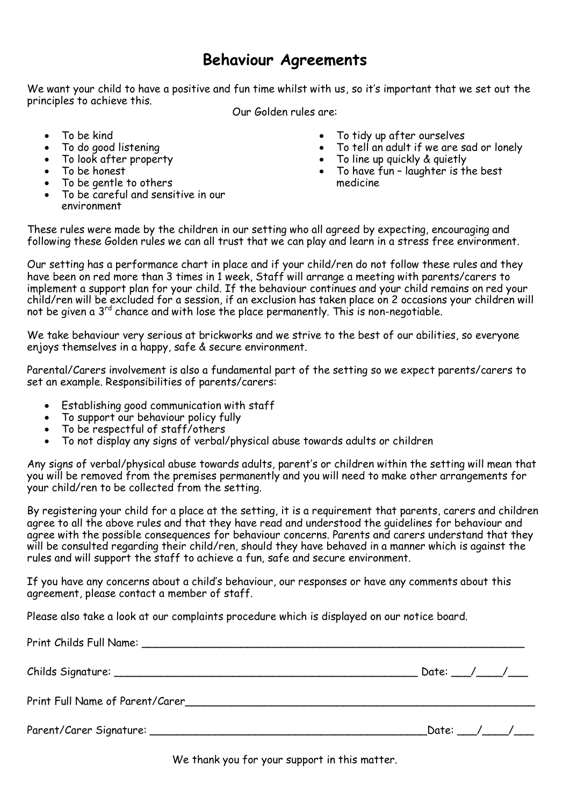#### **Behaviour Agreements**

We want your child to have a positive and fun time whilst with us, so it's important that we set out the principles to achieve this.

Our Golden rules are:

- To be kind
- To do good listening
- To look after property
- To be honest
- To be gentle to others
- To be careful and sensitive in our environment
- To tidy up after ourselves
- To tell an adult if we are sad or lonely
- To line up quickly & quietly
- To have fun laughter is the best medicine

These rules were made by the children in our setting who all agreed by expecting, encouraging and following these Golden rules we can all trust that we can play and learn in a stress free environment.

Our setting has a performance chart in place and if your child/ren do not follow these rules and they have been on red more than 3 times in 1 week, Staff will arrange a meeting with parents/carers to implement a support plan for your child. If the behaviour continues and your child remains on red your child/ren will be excluded for a session, if an exclusion has taken place on 2 occasions your children will not be given a 3<sup>rd</sup> chance and with lose the place permanently. This is non-negotiable.

We take behaviour very serious at brickworks and we strive to the best of our abilities, so everyone enjoys themselves in a happy, safe & secure environment.

Parental/Carers involvement is also a fundamental part of the setting so we expect parents/carers to set an example. Responsibilities of parents/carers:

- Establishing good communication with staff
- To support our behaviour policy fully
- To be respectful of staff/others
- To not display any signs of verbal/physical abuse towards adults or children

Any signs of verbal/physical abuse towards adults, parent's or children within the setting will mean that you will be removed from the premises permanently and you will need to make other arrangements for your child/ren to be collected from the setting.

By registering your child for a place at the setting, it is a requirement that parents, carers and children agree to all the above rules and that they have read and understood the guidelines for behaviour and agree with the possible consequences for behaviour concerns. Parents and carers understand that they will be consulted regarding their child/ren, should they have behaved in a manner which is against the rules and will support the staff to achieve a fun, safe and secure environment.

If you have any concerns about a child's behaviour, our responses or have any comments about this agreement, please contact a member of staff.

Please also take a look at our complaints procedure which is displayed on our notice board.

| Date: ___/____/___ |  |
|--------------------|--|
|                    |  |
|                    |  |

We thank you for your support in this matter.